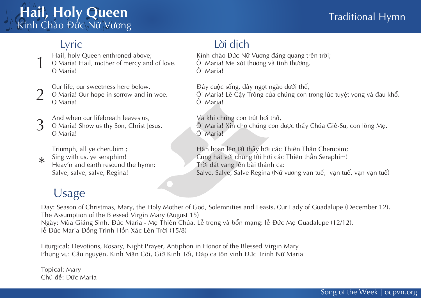## **Hail, Holy Queen** Kính Chào Đức Nữ Vương

#### Lyric

Hail, holy Queen enthroned above; O Maria! Hail, mother of mercy and of love. O Maria! 1

 $\bigcap$ 

Our life, our sweetness here below, O Maria! Our hope in sorrow and in woe. O Maria!

And when our lifebreath leaves us, O Maria! Show us thy Son, Christ Jesus. O Maria! 3

Triumph, all ye cherubim ;

- Sing with us, ye seraphim!  $\ast$
- Heav'n and earth resound the hymn: Salve, salve, salve, Regina!

#### Lời dịch

Kính chào Đức Nữ Vương đăng quang trên trời; Ôi Maria! Me xót thương và tình thương. Ôi Maria!

Đây cuộc sống, đây ngọt ngào dưới thế, Ôi Maria! Lẽ Cậy Trông của chúng con trong lúc tuyệt vọng và đau khổ. Ôi Maria!

Và khi chúng con trút hơi thở, Ôi Maria! Xin cho chúng con được thấy Chúa Giê-Su, con lòng Mẹ. Ôi Maria!

Hân hoan lên tất thảy hỡi các Thiên Thần Cherubim; Cùng hát với chúng tôi hỡi các Thiên thần Seraphim! Trời đất vang lên bài thánh ca: Salve, Salve, Salve Regina (Nữ vương van tuế, van tuế, van van tuế)

## Usage

Day: Season of Christmas, Mary, the Holy Mother of God, Solemnities and Feasts, Our Lady of Guadalupe (December 12), The Assumption of the Blessed Virgin Mary (August 15) Ngày: Mùa Giáng Sinh, Đức Maria - Mẹ Thiên Chúa, Lễ trọng và bổn mạng: lễ Đức Mẹ Guadalupe (12/12), lễ Đức Maria Đồng Trinh Hồn Xác Lên Trời (15/8)

Liturgical: Devotions, Rosary, Night Prayer, Antiphon in Honor of the Blessed Virgin Mary Phung vu: Cầu nguyên, Kinh Mân Côi, Giờ Kinh Tối, Đáp ca tôn vinh Đức Trinh Nữ Maria

Topical: Mary Chủ đề: Đức Maria